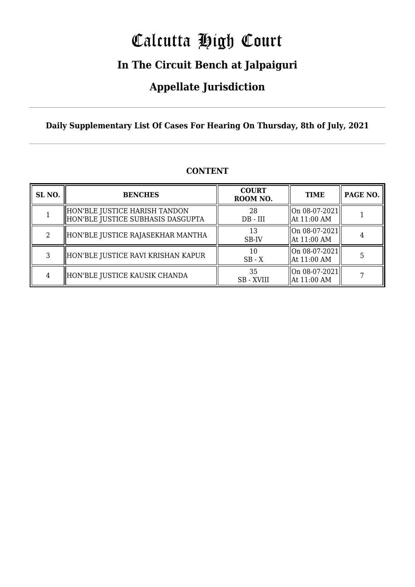# Calcutta High Court

### **In The Circuit Bench at Jalpaiguri**

### **Appellate Jurisdiction**

**Daily Supplementary List Of Cases For Hearing On Thursday, 8th of July, 2021**

| SL <sub>NO.</sub> | <b>BENCHES</b>                                                       | <b>COURT</b><br>ROOM NO. | <b>TIME</b>                                  | PAGE NO. |
|-------------------|----------------------------------------------------------------------|--------------------------|----------------------------------------------|----------|
|                   | HON'BLE JUSTICE HARISH TANDON<br>  HON'BLE JUSTICE SUBHASIS DASGUPTA | 28<br>$DB - III$         | $ On 08-07-2021 $<br>At 11:00 AM             |          |
| റ                 | HON'BLE JUSTICE RAJASEKHAR MANTHA                                    | 13<br>SB-IV              | $ On 08-07-2021 $<br>At 11:00 AM             |          |
|                   | HON'BLE JUSTICE RAVI KRISHAN KAPUR                                   | 10<br>$SB - X$           | $\vert$ On 08-07-2021 $\vert$<br>At 11:00 AM |          |
| 4                 | HON'BLE JUSTICE KAUSIK CHANDA                                        | 35<br>SB - XVIII         | $ On 08-07-2021 $<br> At 11:00 AM            |          |

### **CONTENT**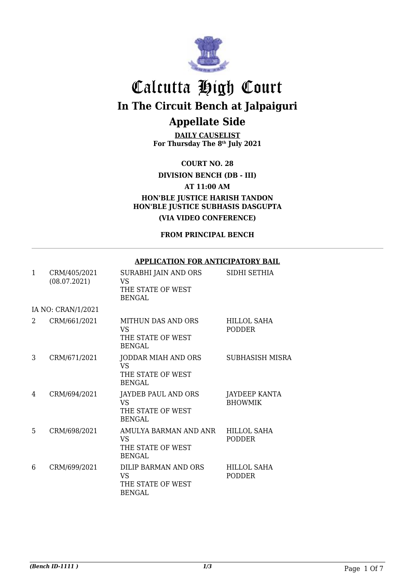

**DAILY CAUSELIST For Thursday The 8th July 2021**

**COURT NO. 28**

**DIVISION BENCH (DB - III)**

**AT 11:00 AM**

**HON'BLE JUSTICE HARISH TANDON HON'BLE JUSTICE SUBHASIS DASGUPTA (VIA VIDEO CONFERENCE)**

**FROM PRINCIPAL BENCH**

#### **APPLICATION FOR ANTICIPATORY BAIL**

| 1 | CRM/405/2021<br>(08.07.2021) | SURABHI JAIN AND ORS<br>VS<br>THE STATE OF WEST<br><b>BENGAL</b>       | SIDHI SETHIA                        |
|---|------------------------------|------------------------------------------------------------------------|-------------------------------------|
|   | IA NO: CRAN/1/2021           |                                                                        |                                     |
| 2 | CRM/661/2021                 | MITHUN DAS AND ORS<br><b>VS</b><br>THE STATE OF WEST<br><b>BENGAL</b>  | <b>HILLOL SAHA</b><br><b>PODDER</b> |
| 3 | CRM/671/2021                 | JODDAR MIAH AND ORS<br><b>VS</b><br>THE STATE OF WEST<br><b>BENGAL</b> | <b>SUBHASISH MISRA</b>              |
| 4 | CRM/694/2021                 | JAYDEB PAUL AND ORS<br><b>VS</b><br>THE STATE OF WEST<br><b>BENGAL</b> | JAYDEEP KANTA<br><b>BHOWMIK</b>     |
| 5 | CRM/698/2021                 | AMULYA BARMAN AND ANR<br>VS.<br>THE STATE OF WEST<br><b>BENGAL</b>     | <b>HILLOL SAHA</b><br><b>PODDER</b> |
| 6 | CRM/699/2021                 | DILIP BARMAN AND ORS<br>VS.<br>THE STATE OF WEST<br><b>BENGAL</b>      | <b>HILLOL SAHA</b><br><b>PODDER</b> |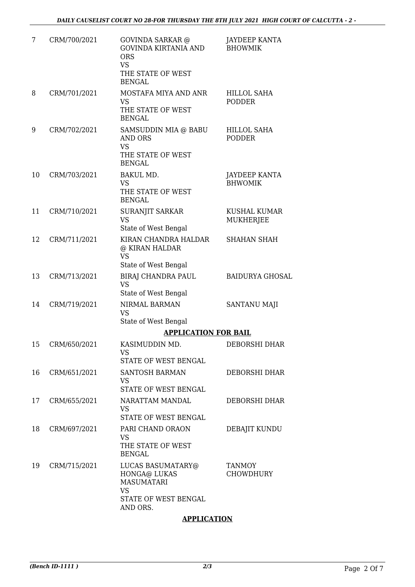| 7  | CRM/700/2021 | <b>GOVINDA SARKAR @</b><br><b>GOVINDA KIRTANIA AND</b><br><b>ORS</b><br><b>VS</b><br>THE STATE OF WEST  | JAYDEEP KANTA<br><b>BHOWMIK</b>        |
|----|--------------|---------------------------------------------------------------------------------------------------------|----------------------------------------|
| 8  | CRM/701/2021 | <b>BENGAL</b><br>MOSTAFA MIYA AND ANR<br><b>VS</b><br>THE STATE OF WEST<br><b>BENGAL</b>                | <b>HILLOL SAHA</b><br><b>PODDER</b>    |
| 9  | CRM/702/2021 | SAMSUDDIN MIA @ BABU<br><b>AND ORS</b><br><b>VS</b><br>THE STATE OF WEST<br><b>BENGAL</b>               | <b>HILLOL SAHA</b><br><b>PODDER</b>    |
| 10 | CRM/703/2021 | <b>BAKUL MD.</b><br><b>VS</b><br>THE STATE OF WEST<br><b>BENGAL</b>                                     | <b>JAYDEEP KANTA</b><br><b>BHWOMIK</b> |
| 11 | CRM/710/2021 | SURANJIT SARKAR<br><b>VS</b><br>State of West Bengal                                                    | KUSHAL KUMAR<br><b>MUKHERJEE</b>       |
| 12 | CRM/711/2021 | KIRAN CHANDRA HALDAR<br>@ KIRAN HALDAR<br><b>VS</b><br>State of West Bengal                             | <b>SHAHAN SHAH</b>                     |
| 13 | CRM/713/2021 | BIRAJ CHANDRA PAUL<br><b>VS</b><br>State of West Bengal                                                 | <b>BAIDURYA GHOSAL</b>                 |
| 14 | CRM/719/2021 | NIRMAL BARMAN<br><b>VS</b><br>State of West Bengal                                                      | <b>SANTANU MAJI</b>                    |
|    |              | <b>APPLICATION FOR BAIL</b>                                                                             |                                        |
| 15 | CRM/650/2021 | KASIMUDDIN MD.<br>VS                                                                                    | DEBORSHI DHAR                          |
| 16 | CRM/651/2021 | STATE OF WEST BENGAL<br>SANTOSH BARMAN<br><b>VS</b><br>STATE OF WEST BENGAL                             | DEBORSHI DHAR                          |
| 17 | CRM/655/2021 | NARATTAM MANDAL<br><b>VS</b><br><b>STATE OF WEST BENGAL</b>                                             | <b>DEBORSHI DHAR</b>                   |
| 18 | CRM/697/2021 | PARI CHAND ORAON<br><b>VS</b><br>THE STATE OF WEST<br><b>BENGAL</b>                                     | <b>DEBAJIT KUNDU</b>                   |
| 19 | CRM/715/2021 | LUCAS BASUMATARY@<br>HONGA@ LUKAS<br><b>MASUMATARI</b><br><b>VS</b><br>STATE OF WEST BENGAL<br>AND ORS. | TANMOY<br><b>CHOWDHURY</b>             |

### **APPLICATION**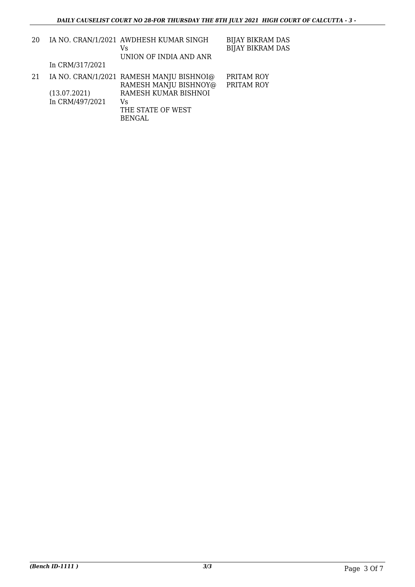| 20  |                 | IA NO. CRAN/1/2021 AWDHESH KUMAR SINGH<br>Vs<br>UNION OF INDIA AND ANR | <b>BIJAY BIKRAM DAS</b><br><b>BIJAY BIKRAM DAS</b> |
|-----|-----------------|------------------------------------------------------------------------|----------------------------------------------------|
|     | In CRM/317/2021 |                                                                        |                                                    |
| -21 |                 | IA NO. CRAN/1/2021 RAMESH MANJU BISHNOI@                               | PRITAM ROY                                         |
|     |                 | RAMESH MANJU BISHNOY@                                                  | PRITAM ROY                                         |
|     | (13.07.2021)    | RAMESH KUMAR BISHNOI                                                   |                                                    |
|     | In CRM/497/2021 | Vs.                                                                    |                                                    |
|     |                 | THE STATE OF WEST                                                      |                                                    |
|     |                 | <b>BENGAL</b>                                                          |                                                    |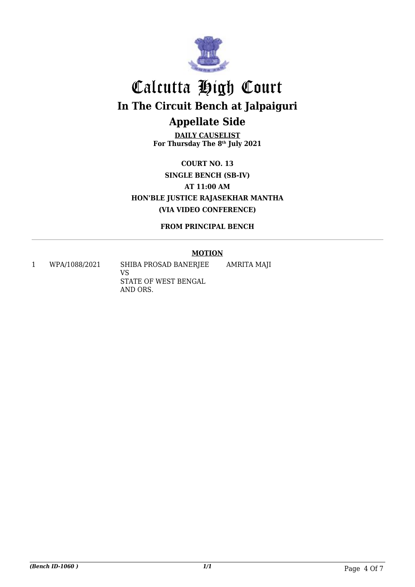

**DAILY CAUSELIST For Thursday The 8th July 2021**

**COURT NO. 13 SINGLE BENCH (SB-IV) AT 11:00 AM HON'BLE JUSTICE RAJASEKHAR MANTHA (VIA VIDEO CONFERENCE)**

**FROM PRINCIPAL BENCH**

### **MOTION**

AMRITA MAJI

1 WPA/1088/2021 SHIBA PROSAD BANERJEE

VS STATE OF WEST BENGAL AND ORS.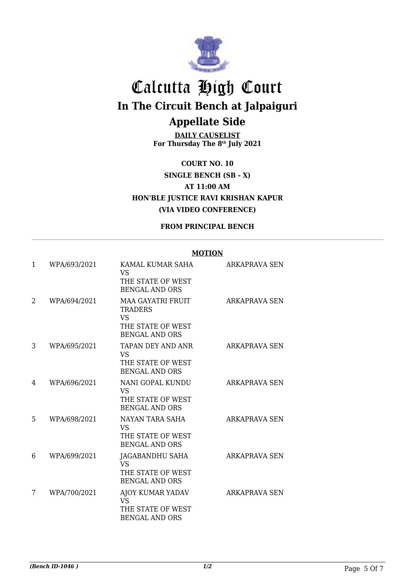

**DAILY CAUSELIST For Thursday The 8th July 2021**

**COURT NO. 10 SINGLE BENCH (SB - X) AT 11:00 AM HON'BLE JUSTICE RAVI KRISHAN KAPUR (VIA VIDEO CONFERENCE)**

### **FROM PRINCIPAL BENCH**

#### **MOTION**

| 1 | WPA/693/2021 | KAMAL KUMAR SAHA<br><b>VS</b><br>THE STATE OF WEST<br><b>BENGAL AND ORS</b>                           | ARKAPRAVA SEN        |
|---|--------------|-------------------------------------------------------------------------------------------------------|----------------------|
| 2 | WPA/694/2021 | <b>MAA GAYATRI FRUIT</b><br><b>TRADERS</b><br><b>VS</b><br>THE STATE OF WEST<br><b>BENGAL AND ORS</b> | <b>ARKAPRAVA SEN</b> |
| 3 | WPA/695/2021 | TAPAN DEY AND ANR<br><b>VS</b><br>THE STATE OF WEST<br><b>BENGAL AND ORS</b>                          | <b>ARKAPRAVA SEN</b> |
| 4 | WPA/696/2021 | NANI GOPAL KUNDU<br>VS<br>THE STATE OF WEST<br><b>BENGAL AND ORS</b>                                  | ARKAPRAVA SEN        |
| 5 | WPA/698/2021 | NAYAN TARA SAHA<br><b>VS</b><br>THE STATE OF WEST<br><b>BENGAL AND ORS</b>                            | ARKAPRAVA SEN        |
| 6 | WPA/699/2021 | JAGABANDHU SAHA<br><b>VS</b><br>THE STATE OF WEST<br><b>BENGAL AND ORS</b>                            | ARKAPRAVA SEN        |
| 7 | WPA/700/2021 | AJOY KUMAR YADAV<br><b>VS</b><br>THE STATE OF WEST<br><b>BENGAL AND ORS</b>                           | <b>ARKAPRAVA SEN</b> |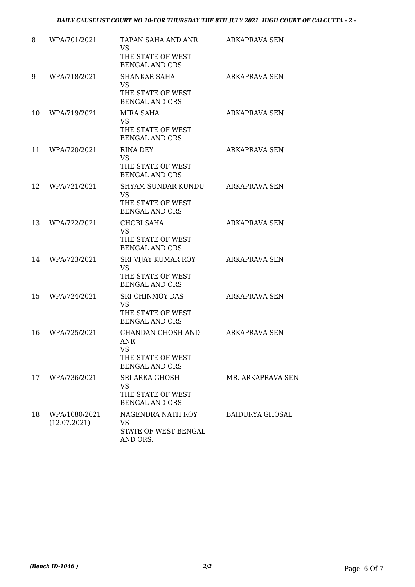| 8  | WPA/701/2021                  | TAPAN SAHA AND ANR<br><b>VS</b><br>THE STATE OF WEST<br><b>BENGAL AND ORS</b>                     | ARKAPRAVA SEN          |
|----|-------------------------------|---------------------------------------------------------------------------------------------------|------------------------|
| 9  | WPA/718/2021                  | <b>SHANKAR SAHA</b><br><b>VS</b><br>THE STATE OF WEST<br><b>BENGAL AND ORS</b>                    | <b>ARKAPRAVA SEN</b>   |
| 10 | WPA/719/2021                  | MIRA SAHA<br><b>VS</b><br>THE STATE OF WEST<br><b>BENGAL AND ORS</b>                              | ARKAPRAVA SEN          |
| 11 | WPA/720/2021                  | RINA DEY<br><b>VS</b><br>THE STATE OF WEST<br><b>BENGAL AND ORS</b>                               | <b>ARKAPRAVA SEN</b>   |
| 12 | WPA/721/2021                  | <b>SHYAM SUNDAR KUNDU</b><br><b>VS</b><br>THE STATE OF WEST<br><b>BENGAL AND ORS</b>              | <b>ARKAPRAVA SEN</b>   |
| 13 | WPA/722/2021                  | <b>CHOBI SAHA</b><br><b>VS</b><br>THE STATE OF WEST<br><b>BENGAL AND ORS</b>                      | <b>ARKAPRAVA SEN</b>   |
| 14 | WPA/723/2021                  | SRI VIJAY KUMAR ROY<br><b>VS</b><br>THE STATE OF WEST<br><b>BENGAL AND ORS</b>                    | <b>ARKAPRAVA SEN</b>   |
| 15 | WPA/724/2021                  | <b>SRI CHINMOY DAS</b><br><b>VS</b><br>THE STATE OF WEST<br><b>BENGAL AND ORS</b>                 | ARKAPRAVA SEN          |
| 16 | WPA/725/2021                  | <b>CHANDAN GHOSH AND</b><br><b>ANR</b><br><b>VS</b><br>THE STATE OF WEST<br><b>BENGAL AND ORS</b> | ARKAPRAVA SEN          |
| 17 | WPA/736/2021                  | SRI ARKA GHOSH<br>VS<br>THE STATE OF WEST<br><b>BENGAL AND ORS</b>                                | MR. ARKAPRAVA SEN      |
| 18 | WPA/1080/2021<br>(12.07.2021) | NAGENDRA NATH ROY<br>VS<br>STATE OF WEST BENGAL<br>AND ORS.                                       | <b>BAIDURYA GHOSAL</b> |